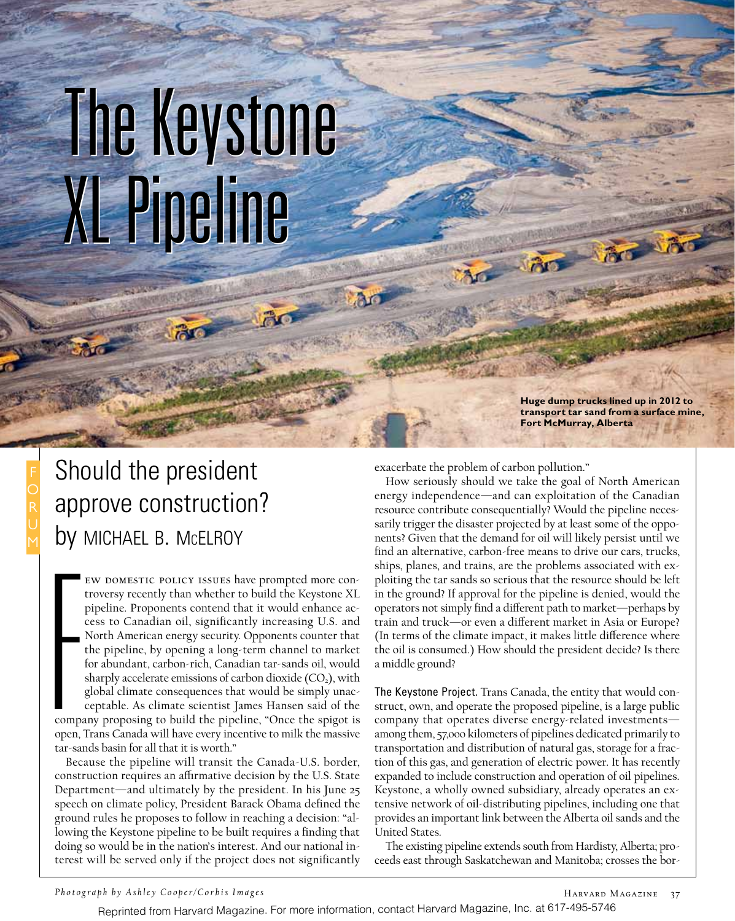## The Keystone The Keystone XL Pipeline XL Pipeline

**Huge dump trucks lined up in 2012 to transport tar sand from a surface mine, Fort McMurray, Alberta** 

Should the president approve construction? by MICHAEL B. McELROY

Francisco<br>Francisco<br>Francisco ew domestic policy issues have prompted more controversy recently than whether to build the Keystone XL pipeline. Proponents contend that it would enhance access to Canadian oil, significantly increasing U.S. and North American energy security. Opponents counter that the pipeline, by opening a long-term channel to market for abundant, carbon-rich, Canadian tar-sands oil, would sharply accelerate emissions of carbon dioxide  $(CO<sub>2</sub>)$ , with global climate consequences that would be simply unacceptable. As climate scientist James Hansen said of the company proposing to build the pipeline, "Once the spigot is

open, Trans Canada will have every incentive to milk the massive tar-sands basin for all that it is worth."

Because the pipeline will transit the Canada-U.S. border, construction requires an affirmative decision by the U.S. State Department—and ultimately by the president. In his June 25 speech on climate policy, President Barack Obama defined the ground rules he proposes to follow in reaching a decision: "allowing the Keystone pipeline to be built requires a finding that doing so would be in the nation's interest. And our national interest will be served only if the project does not significantly exacerbate the problem of carbon pollution."

How seriously should we take the goal of North American energy independence—and can exploitation of the Canadian resource contribute consequentially? Would the pipeline necessarily trigger the disaster projected by at least some of the opponents? Given that the demand for oil will likely persist until we find an alternative, carbon-free means to drive our cars, trucks, ships, planes, and trains, are the problems associated with exploiting the tar sands so serious that the resource should be left in the ground? If approval for the pipeline is denied, would the operators not simply find a different path to market—perhaps by train and truck—or even a different market in Asia or Europe? (In terms of the climate impact, it makes little difference where the oil is consumed.) How should the president decide? Is there a middle ground?

The Keystone Project. Trans Canada, the entity that would construct, own, and operate the proposed pipeline, is a large public company that operates diverse energy-related investments among them, 57,000 kilometers of pipelines dedicated primarily to transportation and distribution of natural gas, storage for a fraction of this gas, and generation of electric power. It has recently expanded to include construction and operation of oil pipelines. Keystone, a wholly owned subsidiary, already operates an extensive network of oil-distributing pipelines, including one that provides an important link between the Alberta oil sands and the United States.

The existing pipeline extends south from Hardisty, Alberta; proceeds east through Saskatchewan and Manitoba; crosses the bor-

*Photograph by Ashley Cooper/Corbis Images*

Reprinted from Harvard Magazine. For more information, contact Harvard Magazine, Inc. at 617-495-5746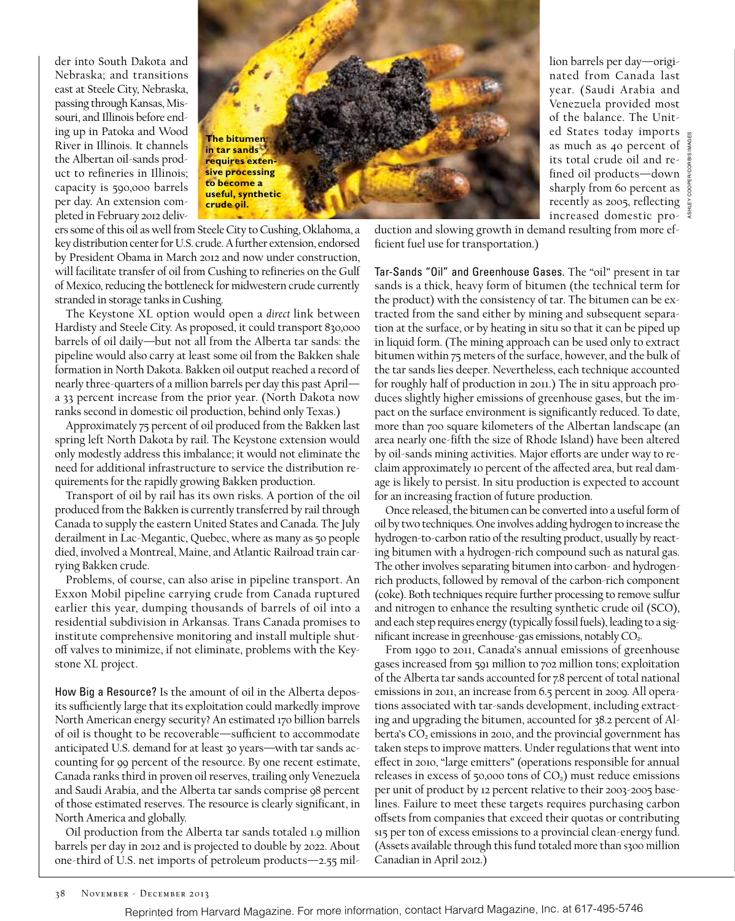der into South Dakota and Nebraska; and transitions east at Steele City, Nebraska, passing through Kansas, Missouri, and Illinois before ending up in Patoka and Wood River in Illinois. It channels the Albertan oil-sands product to refineries in Illinois; capacity is 590,000 barrels per day. An extension completed in February 2012 deliv-



lion barrels per day—originated from Canada last year. (Saudi Arabia and Venezuela provided most of the balance. The United States today imports as much as 40 percent of its total crude oil and refined oil products—down sharply from 60 percent as  $\frac{1}{9}$ sharply  $10m - 1$ <br>recently as 2005, reflecting  $\frac{5}{4}$ increased domestic pro-

Ashley Cooper/Corbis Images

ers some of this oil as well from Steele City to Cushing, Oklahoma, a key distribution center for U.S. crude. A further extension, endorsed by President Obama in March 2012 and now under construction, will facilitate transfer of oil from Cushing to refineries on the Gulf of Mexico, reducing the bottleneck for midwestern crude currently stranded in storage tanks in Cushing.

The Keystone XL option would open a *direct* link between Hardisty and Steele City. As proposed, it could transport 830,000 barrels of oil daily—but not all from the Alberta tar sands: the pipeline would also carry at least some oil from the Bakken shale formation in North Dakota. Bakken oil output reached a record of nearly three-quarters of a million barrels per day this past April a 33 percent increase from the prior year. (North Dakota now ranks second in domestic oil production, behind only Texas.)

Approximately 75 percent of oil produced from the Bakken last spring left North Dakota by rail. The Keystone extension would only modestly address this imbalance; it would not eliminate the need for additional infrastructure to service the distribution requirements for the rapidly growing Bakken production.

Transport of oil by rail has its own risks. A portion of the oil produced from the Bakken is currently transferred by rail through Canada to supply the eastern United States and Canada. The July derailment in Lac-Megantic, Quebec, where as many as 50 people died, involved a Montreal, Maine, and Atlantic Railroad train carrying Bakken crude.

Problems, of course, can also arise in pipeline transport. An Exxon Mobil pipeline carrying crude from Canada ruptured earlier this year, dumping thousands of barrels of oil into a residential subdivision in Arkansas. Trans Canada promises to institute comprehensive monitoring and install multiple shutoff valves to minimize, if not eliminate, problems with the Keystone XL project.

How Big a Resource? Is the amount of oil in the Alberta deposits sufficiently large that its exploitation could markedly improve North American energy security? An estimated 170 billion barrels of oil is thought to be recoverable—sufficient to accommodate anticipated U.S. demand for at least 30 years—with tar sands accounting for 99 percent of the resource. By one recent estimate, Canada ranks third in proven oil reserves, trailing only Venezuela and Saudi Arabia, and the Alberta tar sands comprise 98 percent of those estimated reserves. The resource is clearly significant, in North America and globally.

Oil production from the Alberta tar sands totaled 1.9 million barrels per day in 2012 and is projected to double by 2022. About one-third of U.S. net imports of petroleum products—2.55 mil-

duction and slowing growth in demand resulting from more efficient fuel use for transportation.)

Tar-Sands "Oil" and Greenhouse Gases. The "oil" present in tar sands is a thick, heavy form of bitumen (the technical term for the product) with the consistency of tar. The bitumen can be extracted from the sand either by mining and subsequent separation at the surface, or by heating in situ so that it can be piped up in liquid form. (The mining approach can be used only to extract bitumen within 75 meters of the surface, however, and the bulk of the tar sands lies deeper. Nevertheless, each technique accounted for roughly half of production in 2011.) The in situ approach produces slightly higher emissions of greenhouse gases, but the impact on the surface environment is significantly reduced. To date, more than 700 square kilometers of the Albertan landscape (an area nearly one-fifth the size of Rhode Island) have been altered by oil-sands mining activities. Major efforts are under way to reclaim approximately 10 percent of the affected area, but real damage is likely to persist. In situ production is expected to account for an increasing fraction of future production.

Once released, the bitumen can be converted into a useful form of oil by two techniques. One involves adding hydrogen to increase the hydrogen-to-carbon ratio of the resulting product, usually by reacting bitumen with a hydrogen-rich compound such as natural gas. The other involves separating bitumen into carbon- and hydrogenrich products, followed by removal of the carbon-rich component (coke). Both techniques require further processing to remove sulfur and nitrogen to enhance the resulting synthetic crude oil (SCO), and each step requires energy (typically fossil fuels), leading to a significant increase in greenhouse-gas emissions, notably CO<sub>2</sub>.

From 1990 to 2011, Canada's annual emissions of greenhouse gases increased from 591 million to 702 million tons; exploitation of the Alberta tar sands accounted for 7.8 percent of total national emissions in 2011, an increase from 6.5 percent in 2009. All operations associated with tar-sands development, including extracting and upgrading the bitumen, accounted for 38.2 percent of Alberta's  $CO<sub>2</sub>$  emissions in 2010, and the provincial government has taken steps to improve matters. Under regulations that went into effect in 2010, "large emitters" (operations responsible for annual releases in excess of 50,000 tons of  $CO<sub>2</sub>$ ) must reduce emissions per unit of product by 12 percent relative to their 2003-2005 baselines. Failure to meet these targets requires purchasing carbon offsets from companies that exceed their quotas or contributing \$15 per ton of excess emissions to a provincial clean-energy fund. (Assets available through this fund totaled more than \$300 million Canadian in April 2012.)